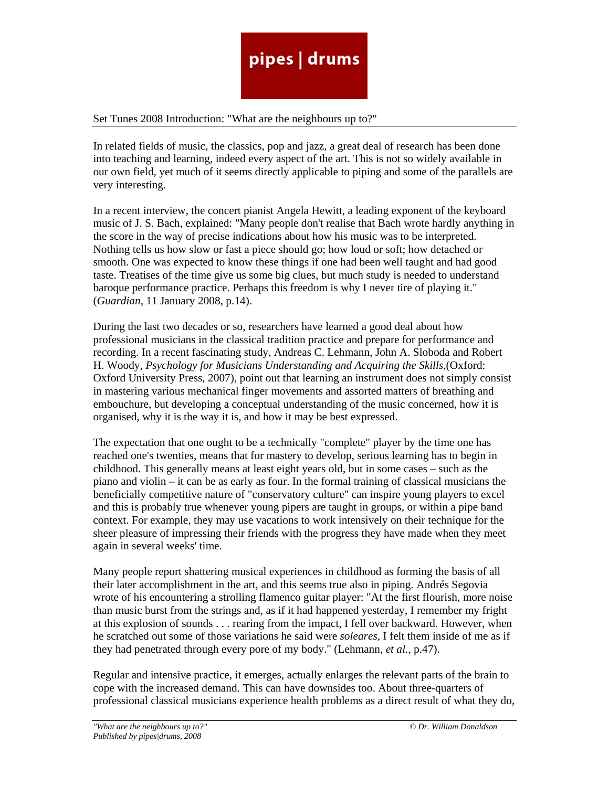#### Set Tunes 2008 Introduction: "What are the neighbours up to?"

In related fields of music, the classics, pop and jazz, a great deal of research has been done into teaching and learning, indeed every aspect of the art. This is not so widely available in our own field, yet much of it seems directly applicable to piping and some of the parallels are very interesting.

In a recent interview, the concert pianist Angela Hewitt, a leading exponent of the keyboard music of J. S. Bach, explained: "Many people don't realise that Bach wrote hardly anything in the score in the way of precise indications about how his music was to be interpreted. Nothing tells us how slow or fast a piece should go; how loud or soft; how detached or smooth. One was expected to know these things if one had been well taught and had good taste. Treatises of the time give us some big clues, but much study is needed to understand baroque performance practice. Perhaps this freedom is why I never tire of playing it." (*Guardian,* 11 January 2008, p.14).

During the last two decades or so, researchers have learned a good deal about how professional musicians in the classical tradition practice and prepare for performance and recording. In a recent fascinating study, Andreas C. Lehmann, John A. Sloboda and Robert H. Woody, *Psychology for Musicians Understanding and Acquiring the Skills,*(Oxford: Oxford University Press, 2007), point out that learning an instrument does not simply consist in mastering various mechanical finger movements and assorted matters of breathing and embouchure, but developing a conceptual understanding of the music concerned, how it is organised, why it is the way it is, and how it may be best expressed.

The expectation that one ought to be a technically "complete" player by the time one has reached one's twenties, means that for mastery to develop, serious learning has to begin in childhood. This generally means at least eight years old, but in some cases – such as the piano and violin – it can be as early as four. In the formal training of classical musicians the beneficially competitive nature of "conservatory culture" can inspire young players to excel and this is probably true whenever young pipers are taught in groups, or within a pipe band context. For example, they may use vacations to work intensively on their technique for the sheer pleasure of impressing their friends with the progress they have made when they meet again in several weeks' time.

Many people report shattering musical experiences in childhood as forming the basis of all their later accomplishment in the art, and this seems true also in piping. Andrés Segovia wrote of his encountering a strolling flamenco guitar player: "At the first flourish, more noise than music burst from the strings and, as if it had happened yesterday, I remember my fright at this explosion of sounds . . . rearing from the impact, I fell over backward. However, when he scratched out some of those variations he said were *soleares,* I felt them inside of me as if they had penetrated through every pore of my body." (Lehmann, *et al.,* p.47).

Regular and intensive practice, it emerges, actually enlarges the relevant parts of the brain to cope with the increased demand. This can have downsides too. About three-quarters of professional classical musicians experience health problems as a direct result of what they do,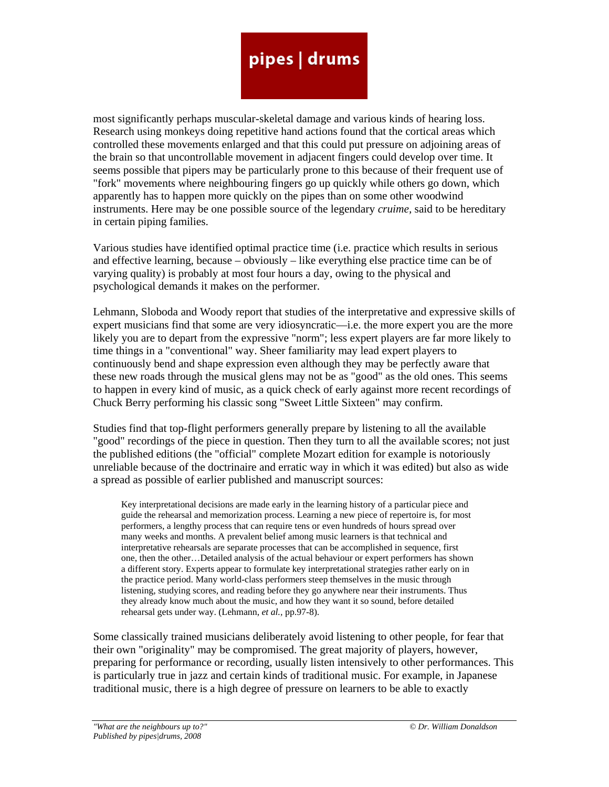most significantly perhaps muscular-skeletal damage and various kinds of hearing loss. Research using monkeys doing repetitive hand actions found that the cortical areas which controlled these movements enlarged and that this could put pressure on adjoining areas of the brain so that uncontrollable movement in adjacent fingers could develop over time. It seems possible that pipers may be particularly prone to this because of their frequent use of "fork" movements where neighbouring fingers go up quickly while others go down, which apparently has to happen more quickly on the pipes than on some other woodwind instruments. Here may be one possible source of the legendary *cruime,* said to be hereditary in certain piping families.

Various studies have identified optimal practice time (i.e. practice which results in serious and effective learning, because – obviously – like everything else practice time can be of varying quality) is probably at most four hours a day, owing to the physical and psychological demands it makes on the performer.

Lehmann, Sloboda and Woody report that studies of the interpretative and expressive skills of expert musicians find that some are very idiosyncratic—i.e. the more expert you are the more likely you are to depart from the expressive "norm"; less expert players are far more likely to time things in a "conventional" way. Sheer familiarity may lead expert players to continuously bend and shape expression even although they may be perfectly aware that these new roads through the musical glens may not be as "good" as the old ones. This seems to happen in every kind of music, as a quick check of early against more recent recordings of Chuck Berry performing his classic song "Sweet Little Sixteen" may confirm.

Studies find that top-flight performers generally prepare by listening to all the available "good" recordings of the piece in question. Then they turn to all the available scores; not just the published editions (the "official" complete Mozart edition for example is notoriously unreliable because of the doctrinaire and erratic way in which it was edited) but also as wide a spread as possible of earlier published and manuscript sources:

Key interpretational decisions are made early in the learning history of a particular piece and guide the rehearsal and memorization process. Learning a new piece of repertoire is, for most performers, a lengthy process that can require tens or even hundreds of hours spread over many weeks and months. A prevalent belief among music learners is that technical and interpretative rehearsals are separate processes that can be accomplished in sequence, first one, then the other…Detailed analysis of the actual behaviour or expert performers has shown a different story. Experts appear to formulate key interpretational strategies rather early on in the practice period. Many world-class performers steep themselves in the music through listening, studying scores, and reading before they go anywhere near their instruments. Thus they already know much about the music, and how they want it so sound, before detailed rehearsal gets under way. (Lehmann, *et al.,* pp.97-8).

Some classically trained musicians deliberately avoid listening to other people, for fear that their own "originality" may be compromised. The great majority of players, however, preparing for performance or recording, usually listen intensively to other performances. This is particularly true in jazz and certain kinds of traditional music. For example, in Japanese traditional music, there is a high degree of pressure on learners to be able to exactly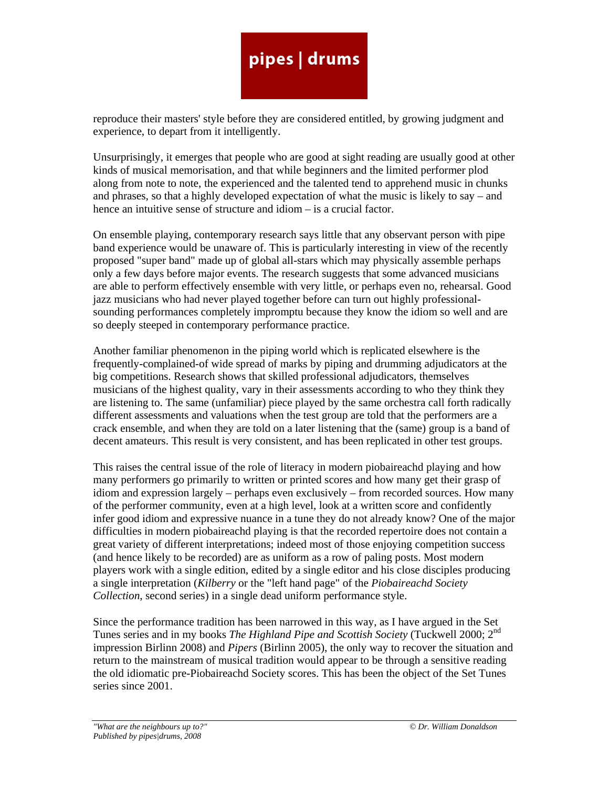reproduce their masters' style before they are considered entitled, by growing judgment and experience, to depart from it intelligently.

Unsurprisingly, it emerges that people who are good at sight reading are usually good at other kinds of musical memorisation, and that while beginners and the limited performer plod along from note to note, the experienced and the talented tend to apprehend music in chunks and phrases, so that a highly developed expectation of what the music is likely to say – and hence an intuitive sense of structure and idiom – is a crucial factor.

On ensemble playing, contemporary research says little that any observant person with pipe band experience would be unaware of. This is particularly interesting in view of the recently proposed "super band" made up of global all-stars which may physically assemble perhaps only a few days before major events. The research suggests that some advanced musicians are able to perform effectively ensemble with very little, or perhaps even no, rehearsal. Good jazz musicians who had never played together before can turn out highly professionalsounding performances completely impromptu because they know the idiom so well and are so deeply steeped in contemporary performance practice.

Another familiar phenomenon in the piping world which is replicated elsewhere is the frequently-complained-of wide spread of marks by piping and drumming adjudicators at the big competitions. Research shows that skilled professional adjudicators, themselves musicians of the highest quality, vary in their assessments according to who they think they are listening to. The same (unfamiliar) piece played by the same orchestra call forth radically different assessments and valuations when the test group are told that the performers are a crack ensemble, and when they are told on a later listening that the (same) group is a band of decent amateurs. This result is very consistent, and has been replicated in other test groups.

This raises the central issue of the role of literacy in modern piobaireachd playing and how many performers go primarily to written or printed scores and how many get their grasp of idiom and expression largely – perhaps even exclusively – from recorded sources. How many of the performer community, even at a high level, look at a written score and confidently infer good idiom and expressive nuance in a tune they do not already know? One of the major difficulties in modern piobaireachd playing is that the recorded repertoire does not contain a great variety of different interpretations; indeed most of those enjoying competition success (and hence likely to be recorded) are as uniform as a row of paling posts. Most modern players work with a single edition, edited by a single editor and his close disciples producing a single interpretation (*Kilberry* or the "left hand page" of the *Piobaireachd Society Collection*, second series) in a single dead uniform performance style.

Since the performance tradition has been narrowed in this way, as I have argued in the Set Tunes series and in my books *The Highland Pipe and Scottish Society* (Tuckwell 2000; 2nd impression Birlinn 2008) and *Pipers* (Birlinn 2005), the only way to recover the situation and return to the mainstream of musical tradition would appear to be through a sensitive reading the old idiomatic pre-Piobaireachd Society scores. This has been the object of the Set Tunes series since 2001.